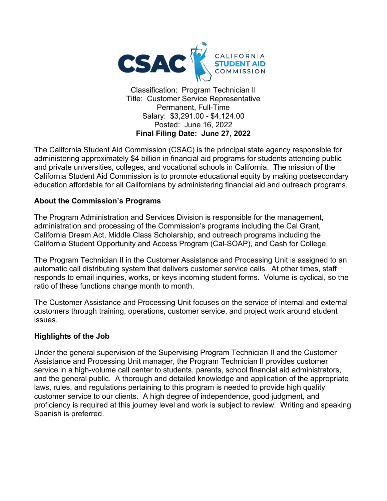

 Salary: \$[3,291.00](https://3,291.00) - [\\$4,124.00](https://4,124.00)   **Final Filing Date: June 27, 2022**  Permanent, Full-Time Posted: June 16, 2022

 and private universities, colleges, and vocational schools in California. The mission of the The California Student Aid Commission (CSAC) is the principal state agency responsible for administering approximately \$4 billion in financial aid programs for students attending public California Student Aid Commission is to promote educational equity by making postsecondary education affordable for all Californians by administering financial aid and outreach programs.

#### **About the Commission's Programs**

 administration and processing of the Commission's programs including the Cal Grant, The Program Administration and Services Division is responsible for the management, California Dream Act, Middle Class Scholarship, and outreach programs including the California Student Opportunity and Access Program (Cal-SOAP), and Cash for College.

 automatic call distributing system that delivers customer service calls. At other times, staff The Program Technician II in the Customer Assistance and Processing Unit is assigned to an responds to email inquiries, works, or keys incoming student forms. Volume is cyclical, so the ratio of these functions change month to month.

The Customer Assistance and Processing Unit focuses on the service of internal and external customers through training, operations, customer service, and project work around student issues.

#### **Highlights of the Job**

 laws, rules, and regulations pertaining to this program is needed to provide high quality Under the general supervision of the Supervising Program Technician II and the Customer Assistance and Processing Unit manager, the Program Technician II provides customer service in a high-volume call center to students, parents, school financial aid administrators, and the general public. A thorough and detailed knowledge and application of the appropriate customer service to our clients. A high degree of independence, good judgment, and proficiency is required at this journey level and work is subject to review. Writing and speaking Spanish is preferred.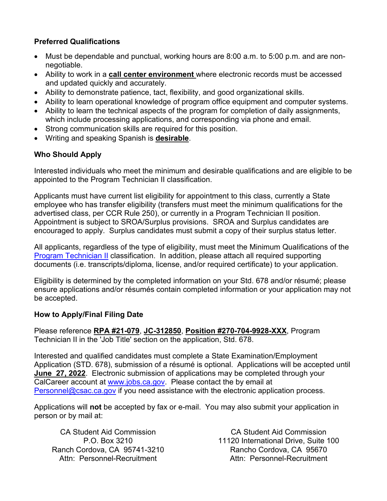#### **Preferred Qualifications**

- Must be dependable and punctual, working hours are 8:00 a.m. to 5:00 p.m. and are nonnegotiable.
- Ability to work in a **call center environment** where electronic records must be accessed and updated quickly and accurately.
- Ability to demonstrate patience, tact, flexibility, and good organizational skills.
- Ability to learn operational knowledge of program office equipment and computer systems.
- Ability to learn the technical aspects of the program for completion of daily assignments, which include processing applications, and corresponding via phone and email.
- Strong communication skills are required for this position.
- Writing and speaking Spanish is **desirable**.

## **Who Should Apply**

Interested individuals who meet the minimum and desirable qualifications and are eligible to be appointed to the Program Technician II classification.

 Applicants must have current list eligibility for appointment to this class, currently a State employee who has transfer eligibility (transfers must meet the minimum qualifications for the advertised class, per CCR Rule 250), or currently in a Program Technician II position. encouraged to apply. Surplus candidates must submit a copy of their surplus status letter. Appointment is subject to SROA/Surplus provisions. SROA and Surplus candidates are

All applicants, regardless of the type of eligibility, must meet the Minimum Qualifications of the [Program Technician II](https://www.calhr.ca.gov/state-hr-professionals/Pages/9927.aspx) classification. In addition, please attach all required supporting documents (i.e. transcripts/diploma, license, and/or required certificate) to your application.

 ensure applications and/or résumés contain completed information or your application may not Eligibility is determined by the completed information on your Std. 678 and/or résumé; please be accepted.

#### **How to Apply/Final Filing Date**

Please reference **RPA #21-079**, **JC-312850**, **Position #270-704-9928-XXX**, Program Technician II in the 'Job Title' section on the application, Std. 678.

 Application (STD. 678), submission of a résumé is optional. Applications will be accepted until  **June 27, 2022**. Electronic submission of applications may be completed through your CalCareer account at [www.jobs.ca.gov.](http://www.jobs.ca.gov/) Please contact the by email at Interested and qualified candidates must complete a State Examination/Employment [Personnel@csac.ca.gov](mailto:Personnel@csac.ca.gov) if you need assistance with the electronic application process.

 Applications will **not** be accepted by fax or e-mail. You may also submit your application in person or by mail at:

Ranch Cordova, CA 95741-3210

Rancho Cordova, CA 95670 CA Student Aid Commission CA Student Aid Commission P.O. Box 3210 11120 International Drive, Suite 100 Attn: Personnel-Recruitment **Attn: Personnel-Recruitment**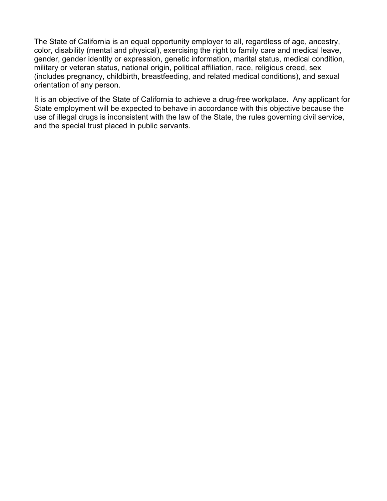color, disability (mental and physical), exercising the right to family care and medical leave, military or veteran status, national origin, political affiliation, race, religious creed, sex The State of California is an equal opportunity employer to all, regardless of age, ancestry, gender, gender identity or expression, genetic information, marital status, medical condition, (includes pregnancy, childbirth, breastfeeding, and related medical conditions), and sexual orientation of any person.

 State employment will be expected to behave in accordance with this objective because the It is an objective of the State of California to achieve a drug-free workplace. Any applicant for use of illegal drugs is inconsistent with the law of the State, the rules governing civil service, and the special trust placed in public servants.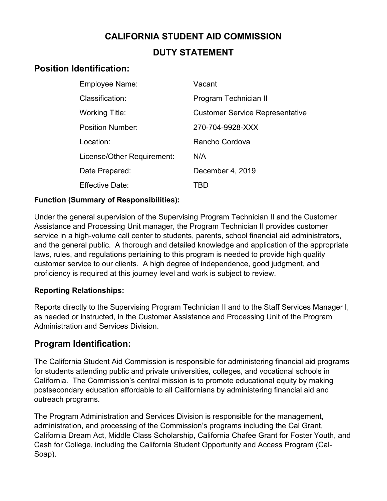# **CALIFORNIA STUDENT AID COMMISSION DUTY STATEMENT**

# **Position Identification:**

| Employee Name:             | Vacant                                 |
|----------------------------|----------------------------------------|
| Classification:            | Program Technician II                  |
| <b>Working Title:</b>      | <b>Customer Service Representative</b> |
| <b>Position Number:</b>    | 270-704-9928-XXX                       |
| Location:                  | Rancho Cordova                         |
| License/Other Requirement: | N/A                                    |
| Date Prepared:             | December 4, 2019                       |
| Effective Date:            | TBD                                    |

#### **Function (Summary of Responsibilities):**

 customer service to our clients. A high degree of independence, good judgment, and Under the general supervision of the Supervising Program Technician II and the Customer Assistance and Processing Unit manager, the Program Technician II provides customer service in a high-volume call center to students, parents, school financial aid administrators, and the general public. A thorough and detailed knowledge and application of the appropriate laws, rules, and regulations pertaining to this program is needed to provide high quality proficiency is required at this journey level and work is subject to review.

## **Reporting Relationships:**

 Reports directly to the Supervising Program Technician II and to the Staff Services Manager I, as needed or instructed, in the Customer Assistance and Processing Unit of the Program Administration and Services Division.

# **Program Identification:**

 for students attending public and private universities, colleges, and vocational schools in The California Student Aid Commission is responsible for administering financial aid programs California. The Commission's central mission is to promote educational equity by making postsecondary education affordable to all Californians by administering financial aid and outreach programs.

 administration, and processing of the Commission's programs including the Cal Grant, California Dream Act, Middle Class Scholarship, California Chafee Grant for Foster Youth, and The Program Administration and Services Division is responsible for the management, Cash for College, including the California Student Opportunity and Access Program (Cal-Soap).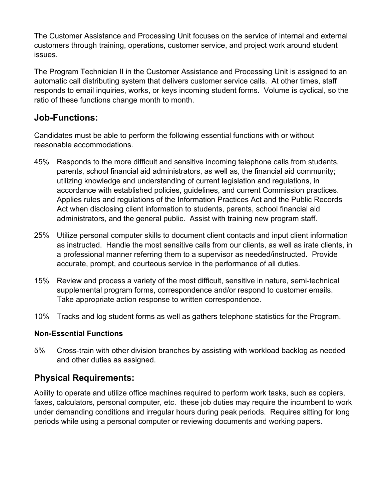The Customer Assistance and Processing Unit focuses on the service of internal and external customers through training, operations, customer service, and project work around student issues.

The Program Technician II in the Customer Assistance and Processing Unit is assigned to an automatic call distributing system that delivers customer service calls. At other times, staff responds to email inquiries, works, or keys incoming student forms. Volume is cyclical, so the ratio of these functions change month to month.

## **Job-Functions:**

Candidates must be able to perform the following essential functions with or without reasonable accommodations.

- accordance with established policies, guidelines, and current Commission practices. Act when disclosing client information to students, parents, school financial aid 45% Responds to the more difficult and sensitive incoming telephone calls from students, parents, school financial aid administrators, as well as, the financial aid community; utilizing knowledge and understanding of current legislation and regulations, in Applies rules and regulations of the Information Practices Act and the Public Records administrators, and the general public. Assist with training new program staff.
- 25% Utilize personal computer skills to document client contacts and input client information as instructed. Handle the most sensitive calls from our clients, as well as irate clients, in a professional manner referring them to a supervisor as needed/instructed. Provide accurate, prompt, and courteous service in the performance of all duties.
- 15% Review and process a variety of the most difficult, sensitive in nature, semi-technical supplemental program forms, correspondence and/or respond to customer emails. Take appropriate action response to written correspondence.
- 10% Tracks and log student forms as well as gathers telephone statistics for the Program.

#### **Non-Essential Functions**

5% Cross-train with other division branches by assisting with workload backlog as needed and other duties as assigned.

# **Physical Requirements:**

 faxes, calculators, personal computer, etc. these job duties may require the incumbent to work Ability to operate and utilize office machines required to perform work tasks, such as copiers, under demanding conditions and irregular hours during peak periods. Requires sitting for long periods while using a personal computer or reviewing documents and working papers.